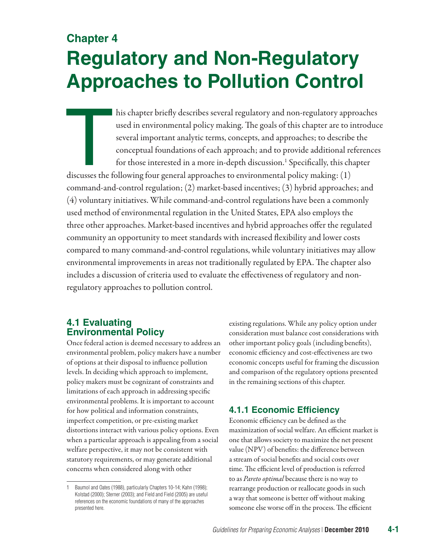# **Chapter 4 Regulatory and Non-Regulatory Approaches to Pollution Control**

his chapter briefly describes several regulatory and non-regulatory approaches<br>used in environmental policy making. The goals of this chapter are to introduc<br>several important analytic terms, concepts, and approaches; to d used in environmental policy making. The goals of this chapter are to introduce several important analytic terms, concepts, and approaches; to describe the conceptual foundations of each approach; and to provide additional references for those interested in a more in-depth discussion.<sup>1</sup> Specifically, this chapter discusses the following four general approaches to environmental policy making: (1) command-and-control regulation; (2) market-based incentives; (3) hybrid approaches; and (4) voluntary initiatives. While command-and-control regulations have been a commonly used method of environmental regulation in the United States, EPA also employs the three other approaches. Market-based incentives and hybrid approaches offer the regulated community an opportunity to meet standards with increased flexibility and lower costs compared to many command-and-control regulations, while voluntary initiatives may allow environmental improvements in areas not traditionally regulated by EPA. The chapter also includes a discussion of criteria used to evaluate the effectiveness of regulatory and nonregulatory approaches to pollution control.

# **4.1 Evaluating Environmental Policy**

Once federal action is deemed necessary to address an environmental problem, policy makers have a number of options at their disposal to influence pollution levels. In deciding which approach to implement, policy makers must be cognizant of constraints and limitations of each approach in addressing specific environmental problems. It is important to account for how political and information constraints, imperfect competition, or pre-existing market distortions interact with various policy options. Even when a particular approach is appealing from a social welfare perspective, it may not be consistent with statutory requirements, or may generate additional concerns when considered along with other

existing regulations. While any policy option under consideration must balance cost considerations with other important policy goals (including benefits), economic efficiency and cost-effectiveness are two economic concepts useful for framing the discussion and comparison of the regulatory options presented in the remaining sections of this chapter.

# **4.1.1 Economic Efficiency**

Economic efficiency can be defined as the maximization of social welfare. An efficient market is one that allows society to maximize the net present value (NPV) of benefits: the difference between a stream of social benefits and social costs over time. The efficient level of production is referred to as *Pareto optimal* because there is no way to rearrange production or reallocate goods in such a way that someone is better off without making someone else worse off in the process. The efficient

<sup>1</sup> Baumol and Oates (1988), particularly Chapters 10-14; Kahn (1998); Kolstad (2000); Sterner (2003); and Field and Field (2005) are useful references on the economic foundations of many of the approaches presented here.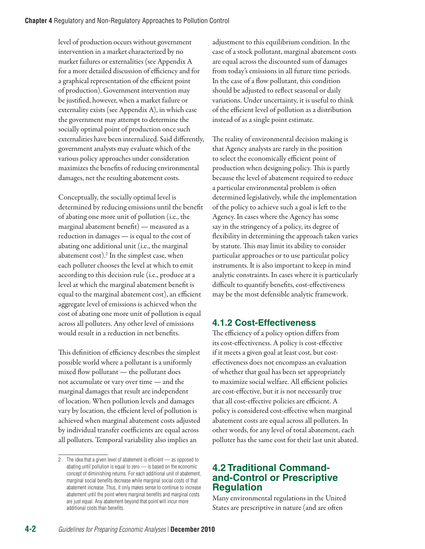level of production occurs without government intervention in a market characterized by no market failures or externalities (see Appendix A for a more detailed discussion of efficiency and for a graphical representation of the efficient point of production). Government intervention may be justified, however, when a market failure or externality exists (see Appendix A), in which case the government may attempt to determine the socially optimal point of production once such externalities have been internalized. Said differently, government analysts may evaluate which of the various policy approaches under consideration maximizes the benefits of reducing environmental damages, net the resulting abatement costs.

Conceptually, the socially optimal level is determined by reducing emissions until the benefit of abating one more unit of pollution (i.e., the marginal abatement benefit) — measured as a reduction in damages — is equal to the cost of abating one additional unit (i.e., the marginal abatement cost).<sup>2</sup> In the simplest case, when each polluter chooses the level at which to emit according to this decision rule (i.e., produce at a level at which the marginal abatement benefit is equal to the marginal abatement cost), an efficient aggregate level of emissions is achieved when the cost of abating one more unit of pollution is equal across all polluters. Any other level of emissions would result in a reduction in net benefits.

This definition of efficiency describes the simplest possible world where a pollutant is a uniformly mixed flow pollutant — the pollutant does not accumulate or vary over time — and the marginal damages that result are independent of location. When pollution levels and damages vary by location, the efficient level of pollution is achieved when marginal abatement costs adjusted by individual transfer coefficients are equal across all polluters. Temporal variability also implies an

adjustment to this equilibrium condition. In the case of a stock pollutant, marginal abatement costs are equal across the discounted sum of damages from today's emissions in all future time periods. In the case of a flow pollutant, this condition should be adjusted to reflect seasonal or daily variations. Under uncertainty, it is useful to think of the efficient level of pollution as a distribution instead of as a single point estimate.

The reality of environmental decision making is that Agency analysts are rarely in the position to select the economically efficient point of production when designing policy. This is partly because the level of abatement required to reduce a particular environmental problem is often determined legislatively, while the implementation of the policy to achieve such a goal is left to the Agency. In cases where the Agency has some say in the stringency of a policy, its degree of flexibility in determining the approach taken varies by statute. This may limit its ability to consider particular approaches or to use particular policy instruments. It is also important to keep in mind analytic constraints. In cases where it is particularly difficult to quantify benefits, cost-effectiveness may be the most defensible analytic framework.

## **4.1.2 Cost-Effectiveness**

The efficiency of a policy option differs from its cost-effectiveness. A policy is cost-effective if it meets a given goal at least cost, but costeffectiveness does not encompass an evaluation of whether that goal has been set appropriately to maximize social welfare. All efficient policies are cost-effective, but it is not necessarily true that all cost-effective policies are efficient. A policy is considered cost-effective when marginal abatement costs are equal across all polluters. In other words, for any level of total abatement, each polluter has the same cost for their last unit abated.

# **4.2 Traditional Commandand-Control or Prescriptive Regulation**

Many environmental regulations in the United States are prescriptive in nature (and are often

<sup>2</sup> The idea that a given level of abatement is efficient — as opposed to abating until pollution is equal to zero — is based on the economic concept of diminishing returns. For each additional unit of abatement, marginal social benefits decrease while marginal social costs of that abatement increase. Thus, it only makes sense to continue to increase abatement until the point where marginal benefits and marginal costs are just equal. Any abatement beyond that point will incur more additional costs than benefits.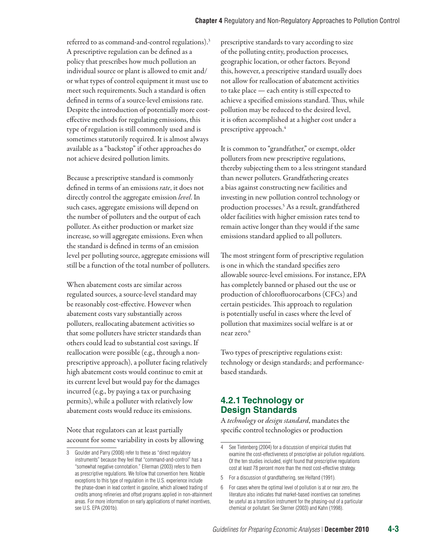referred to as command-and-control regulations). 3 A prescriptive regulation can be defined as a policy that prescribes how much pollution an individual source or plant is allowed to emit and/ or what types of control equipment it must use to meet such requirements. Such a standard is often defined in terms of a source-level emissions rate. Despite the introduction of potentially more costeffective methods for regulating emissions, this type of regulation is still commonly used and is sometimes statutorily required. It is almost always available as a "backstop" if other approaches do not achieve desired pollution limits.

Because a prescriptive standard is commonly defined in terms of an emissions *rate*, it does not directly control the aggregate emission *level*. In such cases, aggregate emissions will depend on the number of polluters and the output of each polluter. As either production or market size increase, so will aggregate emissions. Even when the standard is defined in terms of an emission level per polluting source, aggregate emissions will still be a function of the total number of polluters.

When abatement costs are similar across regulated sources, a source-level standard may be reasonably cost-effective. However when abatement costs vary substantially across polluters, reallocating abatement activities so that some polluters have stricter standards than others could lead to substantial cost savings. If reallocation were possible (e.g., through a nonprescriptive approach), a polluter facing relatively high abatement costs would continue to emit at its current level but would pay for the damages incurred (e.g., by paying a tax or purchasing permits), while a polluter with relatively low abatement costs would reduce its emissions.

Note that regulators can at least partially account for some variability in costs by allowing prescriptive standards to vary according to size of the polluting entity, production processes, geographic location, or other factors. Beyond this, however, a prescriptive standard usually does not allow for reallocation of abatement activities to take place — each entity is still expected to achieve a specified emissions standard. Thus, while pollution may be reduced to the desired level, it is often accomplished at a higher cost under a prescriptive approach. 4

It is common to "grandfather," or exempt, older polluters from new prescriptive regulations, thereby subjecting them to a less stringent standard than newer polluters. Grandfathering creates a bias against constructing new facilities and investing in new pollution control technology or production processes.5 As a result, grandfathered older facilities with higher emission rates tend to remain active longer than they would if the same emissions standard applied to all polluters.

The most stringent form of prescriptive regulation is one in which the standard specifies zero allowable source-level emissions. For instance, EPA has completely banned or phased out the use or production of chlorofluorocarbons (CFCs) and certain pesticides. This approach to regulation is potentially useful in cases where the level of pollution that maximizes social welfare is at or near zero.<sup>6</sup>

Two types of prescriptive regulations exist: technology or design standards; and performancebased standards.

## **4.2.1 Technology or Design Standards**

A *technology* or *design standard*, mandates the specific control technologies or production

<sup>3</sup> Goulder and Parry (2008) refer to these as "direct regulatory instruments" because they feel that "command-and-control" has a "somewhat negative connotation." Ellerman (2003) refers to them as prescriptive regulations. We follow that convention here. Notable exceptions to this type of regulation in the U.S. experience include the phase-down in lead content in gasoline, which allowed trading of credits among refineries and offset programs applied in non-attainment areas. For more information on early applications of market incentives, see U.S. EPA (2001b).

<sup>4</sup> See Tietenberg (2004) for a discussion of empirical studies that examine the cost-effectiveness of prescriptive air pollution regulations. Of the ten studies included, eight found that prescriptive regulations cost at least 78 percent more than the most cost-effective strategy.

<sup>5</sup> For a discussion of grandfathering, see Helfand (1991).

<sup>6</sup> For cases where the optimal level of pollution is at or near zero, the literature also indicates that market-based incentives can sometimes be useful as a transition instrument for the phasing-out of a particular chemical or pollutant. See Sterner (2003) and Kahn (1998).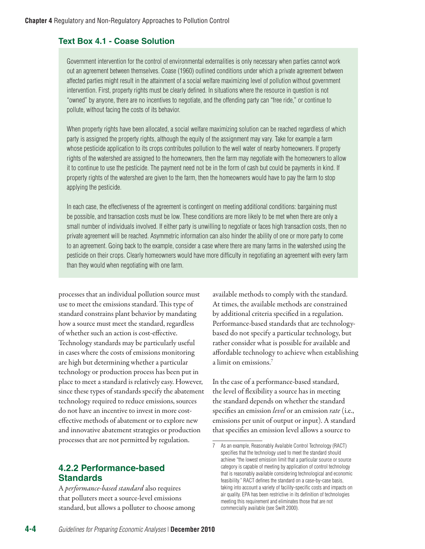#### **Text Box 4.1 - Coase Solution**

Government intervention for the control of environmental externalities is only necessary when parties cannot work out an agreement between themselves. Coase (1960) outlined conditions under which a private agreement between affected parties might result in the attainment of a social welfare maximizing level of pollution without government intervention. First, property rights must be clearly defined. In situations where the resource in question is not "owned" by anyone, there are no incentives to negotiate, and the offending party can "free ride," or continue to pollute, without facing the costs of its behavior.

When property rights have been allocated, a social welfare maximizing solution can be reached regardless of which party is assigned the property rights, although the equity of the assignment may vary. Take for example a farm whose pesticide application to its crops contributes pollution to the well water of nearby homeowners. If property rights of the watershed are assigned to the homeowners, then the farm may negotiate with the homeowners to allow it to continue to use the pesticide. The payment need not be in the form of cash but could be payments in kind. If property rights of the watershed are given to the farm, then the homeowners would have to pay the farm to stop applying the pesticide.

In each case, the effectiveness of the agreement is contingent on meeting additional conditions: bargaining must be possible, and transaction costs must be low. These conditions are more likely to be met when there are only a small number of individuals involved. If either party is unwilling to negotiate or faces high transaction costs, then no private agreement will be reached. Asymmetric information can also hinder the ability of one or more party to come to an agreement. Going back to the example, consider a case where there are many farms in the watershed using the pesticide on their crops. Clearly homeowners would have more difficulty in negotiating an agreement with every farm than they would when negotiating with one farm.

processes that an individual pollution source must use to meet the emissions standard. This type of standard constrains plant behavior by mandating how a source must meet the standard, regardless of whether such an action is cost-effective. Technology standards may be particularly useful in cases where the costs of emissions monitoring are high but determining whether a particular technology or production process has been put in place to meet a standard is relatively easy. However, since these types of standards specify the abatement technology required to reduce emissions, sources do not have an incentive to invest in more costeffective methods of abatement or to explore new and innovative abatement strategies or production processes that are not permitted by regulation.

#### **4.2.2 Performance-based Standards**

A *performance-based standard* also requires that polluters meet a source-level emissions standard, but allows a polluter to choose among available methods to comply with the standard. At times, the available methods are constrained by additional criteria specified in a regulation. Performance-based standards that are technologybased do not specify a particular technology, but rather consider what is possible for available and affordable technology to achieve when establishing a limit on emissions.7

In the case of a performance-based standard, the level of flexibility a source has in meeting the standard depends on whether the standard specifies an emission *level* or an emission *rate* (i.e., emissions per unit of output or input). A standard that specifies an emission level allows a source to

<sup>7</sup> As an example, Reasonably Available Control Technology (RACT) specifies that the technology used to meet the standard should achieve "the lowest emission limit that a particular source or source category is capable of meeting by application of control technology that is reasonably available considering technological and economic feasibility." RACT defines the standard on a case-by-case basis, taking into account a variety of facility-specific costs and impacts on air quality. EPA has been restrictive in its definition of technologies meeting this requirement and eliminates those that are not commercially available (see Swift 2000).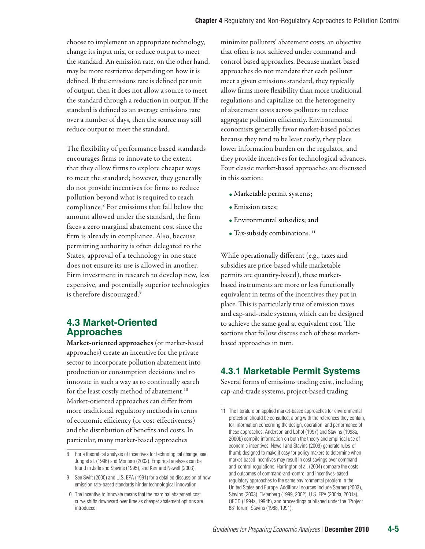choose to implement an appropriate technology, change its input mix, or reduce output to meet the standard. An emission rate, on the other hand, may be more restrictive depending on how it is defined. If the emissions rate is defined per unit of output, then it does not allow a source to meet the standard through a reduction in output. If the standard is defined as an average emissions rate over a number of days, then the source may still reduce output to meet the standard.

The flexibility of performance-based standards encourages firms to innovate to the extent that they allow firms to explore cheaper ways to meet the standard; however, they generally do not provide incentives for firms to reduce pollution beyond what is required to reach compliance.8 For emissions that fall below the amount allowed under the standard, the firm faces a zero marginal abatement cost since the firm is already in compliance. Also, because permitting authority is often delegated to the States, approval of a technology in one state does not ensure its use is allowed in another. Firm investment in research to develop new, less expensive, and potentially superior technologies is therefore discouraged.9

# **4.3 Market-Oriented Approaches**

Market-oriented approaches (or market-based approaches) create an incentive for the private sector to incorporate pollution abatement into production or consumption decisions and to innovate in such a way as to continually search for the least costly method of abatement.<sup>10</sup> Market-oriented approaches can differ from more traditional regulatory methods in terms of economic efficiency (or cost-effectiveness) and the distribution of benefits and costs. In particular, many market-based approaches

minimize polluters' abatement costs, an objective that often is not achieved under command-andcontrol based approaches. Because market-based approaches do not mandate that each polluter meet a given emissions standard, they typically allow firms more flexibility than more traditional regulations and capitalize on the heterogeneity of abatement costs across polluters to reduce aggregate pollution efficiently. Environmental economists generally favor market-based policies because they tend to be least costly, they place lower information burden on the regulator, and they provide incentives for technological advances. Four classic market-based approaches are discussed in this section:

- Marketable permit systems;
- Emission taxes:
- Environmental subsidies; and
- Tax-subsidy combinations. 11

While operationally different (e.g., taxes and subsidies are price-based while marketable permits are quantity-based), these marketbased instruments are more or less functionally equivalent in terms of the incentives they put in place. This is particularly true of emission taxes and cap-and-trade systems, which can be designed to achieve the same goal at equivalent cost. The sections that follow discuss each of these marketbased approaches in turn.

# **4.3.1 Marketable Permit Systems**

Several forms of emissions trading exist, including cap-and-trade systems, project-based trading

<sup>8</sup> For a theoretical analysis of incentives for technological change, see Jung et al. (1996) and Montero (2002). Empirical analyses can be found in Jaffe and Stavins (1995), and Kerr and Newell (2003).

<sup>9</sup> See Swift (2000) and U.S. EPA (1991) for a detailed discussion of how emission rate-based standards hinder technological innovation.

<sup>10</sup> The incentive to innovate means that the marginal abatement cost curve shifts downward over time as cheaper abatement options are introduced.

<sup>11</sup> The literature on applied market-based approaches for environmental protection should be consulted, along with the references they contain, for information concerning the design, operation, and performance of these approaches. Anderson and Lohof (1997) and Stavins (1998a, 2000b) compile information on both the theory and empirical use of economic incentives. Newell and Stavins (2003) generate rules-ofthumb designed to make it easy for policy makers to determine when market-based incentives may result in cost savings over commandand-control regulations. Harrington et al. (2004) compare the costs and outcomes of command-and-control and incentives-based regulatory approaches to the same environmental problem in the United States and Europe. Additional sources include Sterner (2003), Stavins (2003), Tietenberg (1999, 2002), U.S. EPA (2004a, 2001a), OECD (1994a, 1994b), and proceedings published under the "Project 88" forum, Stavins (1988, 1991).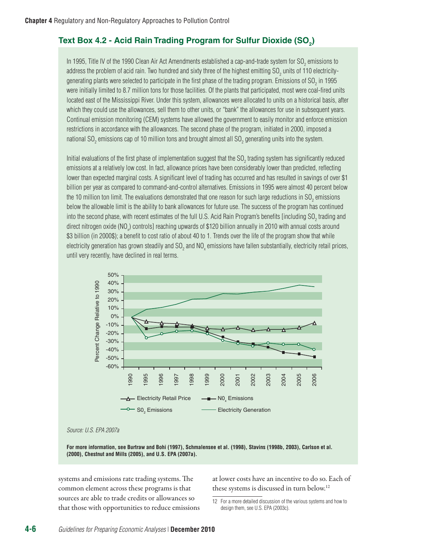# Text Box 4.2 - Acid Rain Trading Program for Sulfur Dioxide (SO<sub>2</sub>)

In 1995, Title IV of the 1990 Clean Air Act Amendments established a cap-and-trade system for SO<sub>2</sub> emissions to address the problem of acid rain. Two hundred and sixty three of the highest emitting SO<sub>2</sub> units of 110 electricitygenerating plants were selected to participate in the first phase of the trading program. Emissions of SO<sub>2</sub> in 1995 were initially limited to 8.7 million tons for those facilities. Of the plants that participated, most were coal-fired units located east of the Mississippi River. Under this system, allowances were allocated to units on a historical basis, after which they could use the allowances, sell them to other units, or "bank" the allowances for use in subsequent years. Continual emission monitoring (CEM) systems have allowed the government to easily monitor and enforce emission restrictions in accordance with the allowances. The second phase of the program, initiated in 2000, imposed a national SO<sub>2</sub> emissions cap of 10 million tons and brought almost all SO<sub>2</sub> generating units into the system.

Initial evaluations of the first phase of implementation suggest that the SO<sub>2</sub> trading system has significantly reduced emissions at a relatively low cost. In fact, allowance prices have been considerably lower than predicted, reflecting lower than expected marginal costs. A significant level of trading has occurred and has resulted in savings of over \$1 billion per year as compared to command-and-control alternatives. Emissions in 1995 were almost 40 percent below the 10 million ton limit. The evaluations demonstrated that one reason for such large reductions in SO<sub>2</sub> emissions below the allowable limit is the ability to bank allowances for future use. The success of the program has continued into the second phase, with recent estimates of the full U.S. Acid Rain Program's benefits [including SO $_{_2}$ trading and direct nitrogen oxide (NO<sub>x</sub>) controls] reaching upwards of \$120 billion annually in 2010 with annual costs around \$3 billion (in 2000\$); a benefit to cost ratio of about 40 to 1. Trends over the life of the program show that while electricity generation has grown steadily and SO<sub>2</sub> and NO<sub>x</sub> emissions have fallen substantially, electricity retail prices, until very recently, have declined in real terms.



*Source: U.S. EPA 2007a*

**For more information, see Burtraw and Bohi (1997), Schmalensee et al. (1998), Stavins (1998b, 2003), Carlson et al. (2000), Chestnut and Mills (2005), and U.S. EPA (2007a).**

systems and emissions rate trading systems. The common element across these programs is that sources are able to trade credits or allowances so that those with opportunities to reduce emissions at lower costs have an incentive to do so. Each of these systems is discussed in turn below.12

<sup>12</sup> For a more detailed discussion of the various systems and how to design them, see U.S. EPA (2003c).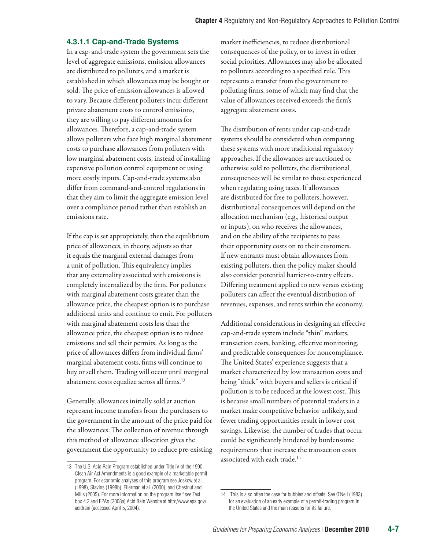#### **4.3.1.1 Cap-and-Trade Systems**

In a cap-and-trade system the government sets the level of aggregate emissions, emission allowances are distributed to polluters, and a market is established in which allowances may be bought or sold. The price of emission allowances is allowed to vary. Because different polluters incur different private abatement costs to control emissions, they are willing to pay different amounts for allowances. Therefore, a cap-and-trade system allows polluters who face high marginal abatement costs to purchase allowances from polluters with low marginal abatement costs, instead of installing expensive pollution control equipment or using more costly inputs. Cap-and-trade systems also differ from command-and-control regulations in that they aim to limit the aggregate emission level over a compliance period rather than establish an emissions rate.

If the cap is set appropriately, then the equilibrium price of allowances, in theory, adjusts so that it equals the marginal external damages from a unit of pollution. This equivalency implies that any externality associated with emissions is completely internalized by the firm. For polluters with marginal abatement costs greater than the allowance price, the cheapest option is to purchase additional units and continue to emit. For polluters with marginal abatement costs less than the allowance price, the cheapest option is to reduce emissions and sell their permits. As long as the price of allowances differs from individual firms' marginal abatement costs, firms will continue to buy or sell them. Trading will occur until marginal abatement costs equalize across all firms.13

Generally, allowances initially sold at auction represent income transfers from the purchasers to the government in the amount of the price paid for the allowances. The collection of revenue through this method of allowance allocation gives the government the opportunity to reduce pre-existing market inefficiencies, to reduce distributional consequences of the policy, or to invest in other social priorities. Allowances may also be allocated to polluters according to a specified rule. This represents a transfer from the government to polluting firms, some of which may find that the value of allowances received exceeds the firm's aggregate abatement costs.

The distribution of rents under cap-and-trade systems should be considered when comparing these systems with more traditional regulatory approaches. If the allowances are auctioned or otherwise sold to polluters, the distributional consequences will be similar to those experienced when regulating using taxes. If allowances are distributed for free to polluters, however, distributional consequences will depend on the allocation mechanism (e.g., historical output or inputs), on who receives the allowances, and on the ability of the recipients to pass their opportunity costs on to their customers. If new entrants must obtain allowances from existing polluters, then the policy maker should also consider potential barrier-to-entry effects. Differing treatment applied to new versus existing polluters can affect the eventual distribution of revenues, expenses, and rents within the economy.

Additional considerations in designing an effective cap-and-trade system include "thin" markets, transaction costs, banking, effective monitoring, and predictable consequences for noncompliance. The United States' experience suggests that a market characterized by low transaction costs and being "thick" with buyers and sellers is critical if pollution is to be reduced at the lowest cost. This is because small numbers of potential traders in a market make competitive behavior unlikely, and fewer trading opportunities result in lower cost savings. Likewise, the number of trades that occur could be significantly hindered by burdensome requirements that increase the transaction costs associated with each trade.14

<sup>13</sup> The U.S. Acid Rain Program established under Title IV of the 1990 Clean Air Act Amendments is a good example of a marketable permit program. For economic analyses of this program see Joskow et al. (1998), Stavins (1998b), Ellerman et al. (2000), and Chestnut and Mills (2005). For more information on the program itself see Text box 4.2 and EPA's (2008a) Acid Rain Website at [http://www.epa.gov/](http://www.epa.gov/acidrain) [acidrain](http://www.epa.gov/acidrain) (accessed April 5, 2004).

<sup>14</sup> This is also often the case for bubbles and offsets. See O'Neil (1983) for an evaluation of an early example of a permit-trading program in the United States and the main reasons for its failure.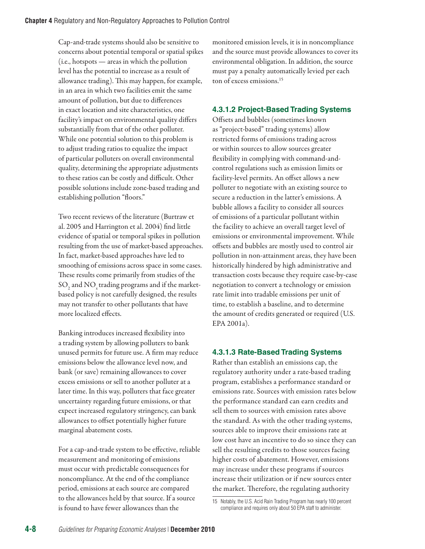Cap-and-trade systems should also be sensitive to concerns about potential temporal or spatial spikes (i.e., hotspots — areas in which the pollution level has the potential to increase as a result of allowance trading). This may happen, for example, in an area in which two facilities emit the same amount of pollution, but due to differences in exact location and site characteristics, one facility's impact on environmental quality differs substantially from that of the other polluter. While one potential solution to this problem is to adjust trading ratios to equalize the impact of particular polluters on overall environmental quality, determining the appropriate adjustments to these ratios can be costly and difficult. Other possible solutions include zone-based trading and establishing pollution "floors."

Two recent reviews of the literature (Burtraw et al. 2005 and Harrington et al. 2004) find little evidence of spatial or temporal spikes in pollution resulting from the use of market-based approaches. In fact, market-based approaches have led to smoothing of emissions across space in some cases. These results come primarily from studies of the  $\mathrm{SO}_2^{}$  and  $\mathrm{NO}_\mathrm{x}^{}$  trading programs and if the marketbased policy is not carefully designed, the results may not transfer to other pollutants that have more localized effects.

Banking introduces increased flexibility into a trading system by allowing polluters to bank unused permits for future use. A firm may reduce emissions below the allowance level now, and bank (or save) remaining allowances to cover excess emissions or sell to another polluter at a later time. In this way, polluters that face greater uncertainty regarding future emissions, or that expect increased regulatory stringency, can bank allowances to offset potentially higher future marginal abatement costs.

For a cap-and-trade system to be effective, reliable measurement and monitoring of emissions must occur with predictable consequences for noncompliance. At the end of the compliance period, emissions at each source are compared to the allowances held by that source. If a source is found to have fewer allowances than the

monitored emission levels, it is in noncompliance and the source must provide allowances to cover its environmental obligation. In addition, the source must pay a penalty automatically levied per each ton of excess emissions.15

#### **4.3.1.2 Project-Based Trading Systems**

Offsets and bubbles (sometimes known as "project-based" trading systems) allow restricted forms of emissions trading across or within sources to allow sources greater flexibility in complying with command-andcontrol regulations such as emission limits or facility-level permits. An offset allows a new polluter to negotiate with an existing source to secure a reduction in the latter's emissions. A bubble allows a facility to consider all sources of emissions of a particular pollutant within the facility to achieve an overall target level of emissions or environmental improvement. While offsets and bubbles are mostly used to control air pollution in non-attainment areas, they have been historically hindered by high administrative and transaction costs because they require case-by-case negotiation to convert a technology or emission rate limit into tradable emissions per unit of time, to establish a baseline, and to determine the amount of credits generated or required (U.S. EPA 2001a).

#### **4.3.1.3 Rate-Based Trading Systems**

Rather than establish an emissions cap, the regulatory authority under a rate-based trading program, establishes a performance standard or emissions rate. Sources with emission rates below the performance standard can earn credits and sell them to sources with emission rates above the standard. As with the other trading systems, sources able to improve their emissions rate at low cost have an incentive to do so since they can sell the resulting credits to those sources facing higher costs of abatement. However, emissions may increase under these programs if sources increase their utilization or if new sources enter the market. Therefore, the regulating authority

<sup>15</sup> Notably, the U.S. Acid Rain Trading Program has nearly 100 percent compliance and requires only about 50 EPA staff to administer.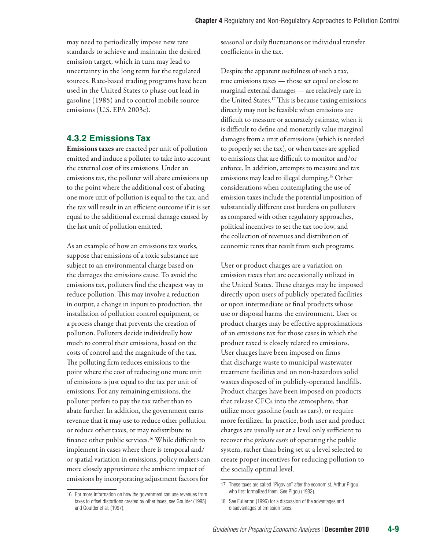may need to periodically impose new rate standards to achieve and maintain the desired emission target, which in turn may lead to uncertainty in the long term for the regulated sources. Rate-based trading programs have been used in the United States to phase out lead in gasoline (1985) and to control mobile source emissions (U.S. EPA 2003c).

# **4.3.2 Emissions Tax**

Emissions taxes are exacted per unit of pollution emitted and induce a polluter to take into account the external cost of its emissions. Under an emissions tax, the polluter will abate emissions up to the point where the additional cost of abating one more unit of pollution is equal to the tax, and the tax will result in an efficient outcome if it is set equal to the additional external damage caused by the last unit of pollution emitted.

As an example of how an emissions tax works, suppose that emissions of a toxic substance are subject to an environmental charge based on the damages the emissions cause. To avoid the emissions tax, polluters find the cheapest way to reduce pollution. This may involve a reduction in output, a change in inputs to production, the installation of pollution control equipment, or a process change that prevents the creation of pollution. Polluters decide individually how much to control their emissions, based on the costs of control and the magnitude of the tax. The polluting firm reduces emissions to the point where the cost of reducing one more unit of emissions is just equal to the tax per unit of emissions. For any remaining emissions, the polluter prefers to pay the tax rather than to abate further. In addition, the government earns revenue that it may use to reduce other pollution or reduce other taxes, or may redistribute to finance other public services.16 While difficult to implement in cases where there is temporal and/ or spatial variation in emissions, policy makers can more closely approximate the ambient impact of emissions by incorporating adjustment factors for

seasonal or daily fluctuations or individual transfer coefficients in the tax.

Despite the apparent usefulness of such a tax, true emissions taxes — those set equal or close to marginal external damages — are relatively rare in the United States.17 This is because taxing emissions directly may not be feasible when emissions are difficult to measure or accurately estimate, when it is difficult to define and monetarily value marginal damages from a unit of emissions (which is needed to properly set the tax), or when taxes are applied to emissions that are difficult to monitor and/or enforce. In addition, attempts to measure and tax emissions may lead to illegal dumping.18 Other considerations when contemplating the use of emission taxes include the potential imposition of substantially different cost burdens on polluters as compared with other regulatory approaches, political incentives to set the tax too low, and the collection of revenues and distribution of economic rents that result from such programs.

User or product charges are a variation on emission taxes that are occasionally utilized in the United States. These charges may be imposed directly upon users of publicly operated facilities or upon intermediate or final products whose use or disposal harms the environment. User or product charges may be effective approximations of an emissions tax for those cases in which the product taxed is closely related to emissions. User charges have been imposed on firms that discharge waste to municipal wastewater treatment facilities and on non-hazardous solid wastes disposed of in publicly-operated landfills. Product charges have been imposed on products that release CFCs into the atmosphere, that utilize more gasoline (such as cars), or require more fertilizer. In practice, both user and product charges are usually set at a level only sufficient to recover the *private costs* of operating the public system, rather than being set at a level selected to create proper incentives for reducing pollution to the socially optimal level.

<sup>17</sup> These taxes are called "Pigovian" after the economist, Arthur Pigou, who first formalized them. See Pigou (1932).

<sup>16</sup> For more information on how the government can use revenues from taxes to offset distortions created by other taxes, see Goulder (1995) and Goulder et al. (1997).

<sup>18</sup> See Fullerton (1996) for a discussion of the advantages and disadvantages of emission taxes.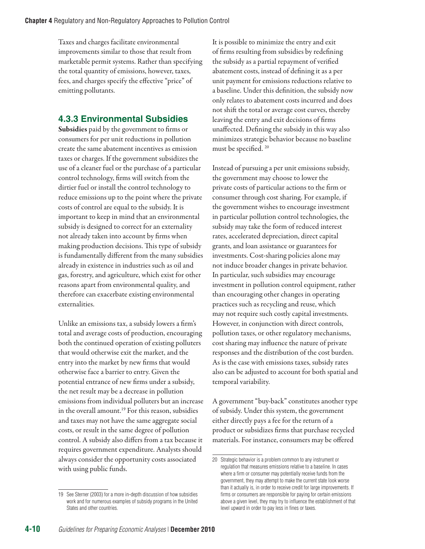Taxes and charges facilitate environmental improvements similar to those that result from marketable permit systems. Rather than specifying the total quantity of emissions, however, taxes, fees, and charges specify the effective "price" of emitting pollutants.

#### **4.3.3 Environmental Subsidies**

Subsidies paid by the government to firms or consumers for per unit reductions in pollution create the same abatement incentives as emission taxes or charges. If the government subsidizes the use of a cleaner fuel or the purchase of a particular control technology, firms will switch from the dirtier fuel or install the control technology to reduce emissions up to the point where the private costs of control are equal to the subsidy. It is important to keep in mind that an environmental subsidy is designed to correct for an externality not already taken into account by firms when making production decisions. This type of subsidy is fundamentally different from the many subsidies already in existence in industries such as oil and gas, forestry, and agriculture, which exist for other reasons apart from environmental quality, and therefore can exacerbate existing environmental externalities.

Unlike an emissions tax, a subsidy lowers a firm's total and average costs of production, encouraging both the continued operation of existing polluters that would otherwise exit the market, and the entry into the market by new firms that would otherwise face a barrier to entry. Given the potential entrance of new firms under a subsidy, the net result may be a decrease in pollution emissions from individual polluters but an increase in the overall amount.<sup>19</sup> For this reason, subsidies and taxes may not have the same aggregate social costs, or result in the same degree of pollution control. A subsidy also differs from a tax because it requires government expenditure. Analysts should always consider the opportunity costs associated with using public funds.

It is possible to minimize the entry and exit of firms resulting from subsidies by redefining the subsidy as a partial repayment of verified abatement costs, instead of defining it as a per unit payment for emissions reductions relative to a baseline. Under this definition, the subsidy now only relates to abatement costs incurred and does not shift the total or average cost curves, thereby leaving the entry and exit decisions of firms unaffected. Defining the subsidy in this way also minimizes strategic behavior because no baseline must be specified. 20

Instead of pursuing a per unit emissions subsidy, the government may choose to lower the private costs of particular actions to the firm or consumer through cost sharing. For example, if the government wishes to encourage investment in particular pollution control technologies, the subsidy may take the form of reduced interest rates, accelerated depreciation, direct capital grants, and loan assistance or guarantees for investments. Cost-sharing policies alone may not induce broader changes in private behavior. In particular, such subsidies may encourage investment in pollution control equipment, rather than encouraging other changes in operating practices such as recycling and reuse, which may not require such costly capital investments. However, in conjunction with direct controls, pollution taxes, or other regulatory mechanisms, cost sharing may influence the nature of private responses and the distribution of the cost burden. As is the case with emissions taxes, subsidy rates also can be adjusted to account for both spatial and temporal variability.

A government "buy-back" constitutes another type of subsidy. Under this system, the government either directly pays a fee for the return of a product or subsidizes firms that purchase recycled materials. For instance, consumers may be offered

<sup>19</sup> See Sterner (2003) for a more in-depth discussion of how subsidies work and for numerous examples of subsidy programs in the United States and other countries.

<sup>20</sup> Strategic behavior is a problem common to any instrument or regulation that measures emissions relative to a baseline. In cases where a firm or consumer may potentially receive funds from the government, they may attempt to make the current state look worse than it actually is, in order to receive credit for large improvements. If firms or consumers are responsible for paying for certain emissions above a given level, they may try to influence the establishment of that level upward in order to pay less in fines or taxes.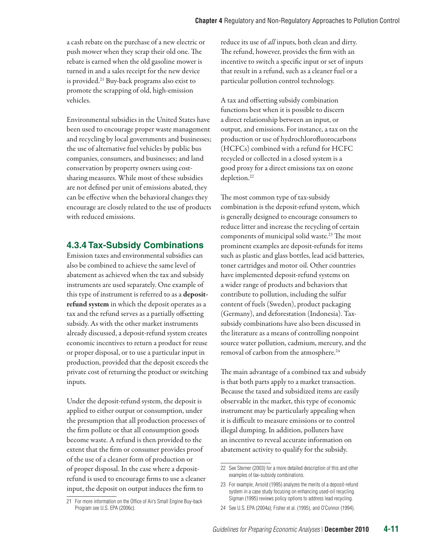a cash rebate on the purchase of a new electric or push mower when they scrap their old one. The rebate is earned when the old gasoline mower is turned in and a sales receipt for the new device is provided.21 Buy-back programs also exist to promote the scrapping of old, high-emission vehicles.

Environmental subsidies in the United States have been used to encourage proper waste management and recycling by local governments and businesses; the use of alternative fuel vehicles by public bus companies, consumers, and businesses; and land conservation by property owners using costsharing measures. While most of these subsidies are not defined per unit of emissions abated, they can be effective when the behavioral changes they encourage are closely related to the use of products with reduced emissions.

# **4.3.4 Tax-Subsidy Combinations**

Emission taxes and environmental subsidies can also be combined to achieve the same level of abatement as achieved when the tax and subsidy instruments are used separately. One example of this type of instrument is referred to as a depositrefund system in which the deposit operates as a tax and the refund serves as a partially offsetting subsidy. As with the other market instruments already discussed, a deposit-refund system creates economic incentives to return a product for reuse or proper disposal, or to use a particular input in production, provided that the deposit exceeds the private cost of returning the product or switching inputs.

Under the deposit-refund system, the deposit is applied to either output or consumption, under the presumption that all production processes of the firm pollute or that all consumption goods become waste. A refund is then provided to the extent that the firm or consumer provides proof of the use of a cleaner form of production or of proper disposal. In the case where a depositrefund is used to encourage firms to use a cleaner input, the deposit on output induces the firm to

reduce its use of *all* inputs, both clean and dirty. The refund, however, provides the firm with an incentive to switch a specific input or set of inputs that result in a refund, such as a cleaner fuel or a particular pollution control technology.

A tax and offsetting subsidy combination functions best when it is possible to discern a direct relationship between an input, or output, and emissions. For instance, a tax on the production or use of hydrochlorofluorocarbons (HCFCs) combined with a refund for HCFC recycled or collected in a closed system is a good proxy for a direct emissions tax on ozone depletion.<sup>22</sup>

The most common type of tax-subsidy combination is the deposit-refund system, which is generally designed to encourage consumers to reduce litter and increase the recycling of certain components of municipal solid waste.23 The most prominent examples are deposit-refunds for items such as plastic and glass bottles, lead acid batteries, toner cartridges and motor oil. Other countries have implemented deposit-refund systems on a wider range of products and behaviors that contribute to pollution, including the sulfur content of fuels (Sweden), product packaging (Germany), and deforestation (Indonesia). Taxsubsidy combinations have also been discussed in the literature as a means of controlling nonpoint source water pollution, cadmium, mercury, and the removal of carbon from the atmosphere.<sup>24</sup>

The main advantage of a combined tax and subsidy is that both parts apply to a market transaction. Because the taxed and subsidized items are easily observable in the market, this type of economic instrument may be particularly appealing when it is difficult to measure emissions or to control illegal dumping. In addition, polluters have an incentive to reveal accurate information on abatement activity to qualify for the subsidy.

<sup>21</sup> For more information on the Office of Air's Small Engine Buy-back Program see U.S. EPA (2006c).

<sup>22</sup> See Sterner (2003) for a more detailed description of this and other examples of tax-subsidy combinations.

<sup>23</sup> For example, Arnold (1995) analyzes the merits of a deposit-refund system in a case study focusing on enhancing used-oil recycling. Sigman (1995) reviews policy options to address lead recycling.

<sup>24</sup> See U.S. EPA (2004a), Fisher et al. (1995), and O'Connor (1994).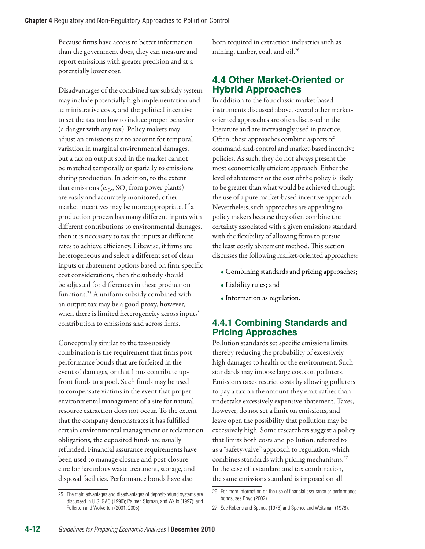Because firms have access to better information than the government does, they can measure and report emissions with greater precision and at a potentially lower cost.

Disadvantages of the combined tax-subsidy system may include potentially high implementation and administrative costs, and the political incentive to set the tax too low to induce proper behavior (a danger with any tax). Policy makers may adjust an emissions tax to account for temporal variation in marginal environmental damages, but a tax on output sold in the market cannot be matched temporally or spatially to emissions during production. In addition, to the extent that emissions (e.g.,  $\text{SO}_2$  from power plants) are easily and accurately monitored, other market incentives may be more appropriate. If a production process has many different inputs with different contributions to environmental damages, then it is necessary to tax the inputs at different rates to achieve efficiency. Likewise, if firms are heterogeneous and select a different set of clean inputs or abatement options based on firm-specific cost considerations, then the subsidy should be adjusted for differences in these production functions.25 A uniform subsidy combined with an output tax may be a good proxy, however, when there is limited heterogeneity across inputs' contribution to emissions and across firms.

Conceptually similar to the tax-subsidy combination is the requirement that firms post performance bonds that are forfeited in the event of damages, or that firms contribute upfront funds to a pool. Such funds may be used to compensate victims in the event that proper environmental management of a site for natural resource extraction does not occur. To the extent that the company demonstrates it has fulfilled certain environmental management or reclamation obligations, the deposited funds are usually refunded. Financial assurance requirements have been used to manage closure and post-closure care for hazardous waste treatment, storage, and disposal facilities. Performance bonds have also

been required in extraction industries such as mining, timber, coal, and oil.<sup>26</sup>

## **4.4 Other Market-Oriented or Hybrid Approaches**

In addition to the four classic market-based instruments discussed above, several other marketoriented approaches are often discussed in the literature and are increasingly used in practice. Often, these approaches combine aspects of command-and-control and market-based incentive policies. As such, they do not always present the most economically efficient approach. Either the level of abatement or the cost of the policy is likely to be greater than what would be achieved through the use of a pure market-based incentive approach. Nevertheless, such approaches are appealing to policy makers because they often combine the certainty associated with a given emissions standard with the flexibility of allowing firms to pursue the least costly abatement method. This section discusses the following market-oriented approaches:

- Combining standards and pricing approaches;
- Liability rules; and
- Information as regulation.

## **4.4.1 Combining Standards and Pricing Approaches**

Pollution standards set specific emissions limits, thereby reducing the probability of excessively high damages to health or the environment. Such standards may impose large costs on polluters. Emissions taxes restrict costs by allowing polluters to pay a tax on the amount they emit rather than undertake excessively expensive abatement. Taxes, however, do not set a limit on emissions, and leave open the possibility that pollution may be excessively high. Some researchers suggest a policy that limits both costs and pollution, referred to as a "safety-valve" approach to regulation, which combines standards with pricing mechanisms.27 In the case of a standard and tax combination, the same emissions standard is imposed on all

<sup>25</sup> The main advantages and disadvantages of deposit-refund systems are discussed in U.S. GAO (1990); Palmer, Sigman, and Walls (1997); and Fullerton and Wolverton (2001, 2005).

<sup>26</sup> For more information on the use of financial assurance or performance bonds, see Boyd (2002).

<sup>27</sup> See Roberts and Spence (1976) and Spence and Weitzman (1978).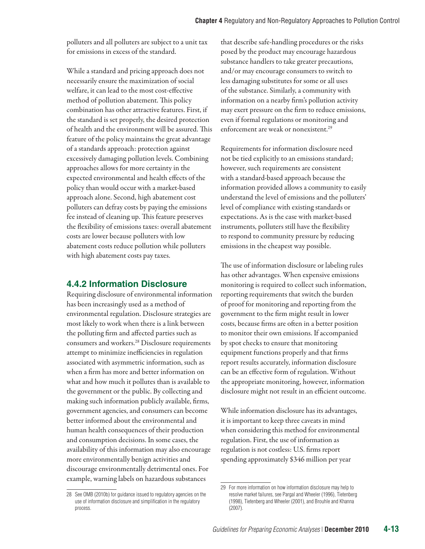polluters and all polluters are subject to a unit tax for emissions in excess of the standard.

While a standard and pricing approach does not necessarily ensure the maximization of social welfare, it can lead to the most cost-effective method of pollution abatement. This policy combination has other attractive features. First, if the standard is set properly, the desired protection of health and the environment will be assured. This feature of the policy maintains the great advantage of a standards approach: protection against excessively damaging pollution levels. Combining approaches allows for more certainty in the expected environmental and health effects of the policy than would occur with a market-based approach alone. Second, high abatement cost polluters can defray costs by paying the emissions fee instead of cleaning up. This feature preserves the flexibility of emissions taxes: overall abatement costs are lower because polluters with low abatement costs reduce pollution while polluters with high abatement costs pay taxes.

## **4.4.2 Information Disclosure**

Requiring disclosure of environmental information has been increasingly used as a method of environmental regulation. Disclosure strategies are most likely to work when there is a link between the polluting firm and affected parties such as consumers and workers.28 Disclosure requirements attempt to minimize inefficiencies in regulation associated with asymmetric information, such as when a firm has more and better information on what and how much it pollutes than is available to the government or the public. By collecting and making such information publicly available, firms, government agencies, and consumers can become better informed about the environmental and human health consequences of their production and consumption decisions. In some cases, the availability of this information may also encourage more environmentally benign activities and discourage environmentally detrimental ones. For example, warning labels on hazardous substances

that describe safe-handling procedures or the risks posed by the product may encourage hazardous substance handlers to take greater precautions, and/or may encourage consumers to switch to less damaging substitutes for some or all uses of the substance. Similarly, a community with information on a nearby firm's pollution activity may exert pressure on the firm to reduce emissions, even if formal regulations or monitoring and enforcement are weak or nonexistent.<sup>29</sup>

Requirements for information disclosure need not be tied explicitly to an emissions standard; however, such requirements are consistent with a standard-based approach because the information provided allows a community to easily understand the level of emissions and the polluters' level of compliance with existing standards or expectations. As is the case with market-based instruments, polluters still have the flexibility to respond to community pressure by reducing emissions in the cheapest way possible.

The use of information disclosure or labeling rules has other advantages. When expensive emissions monitoring is required to collect such information, reporting requirements that switch the burden of proof for monitoring and reporting from the government to the firm might result in lower costs, because firms are often in a better position to monitor their own emissions. If accompanied by spot checks to ensure that monitoring equipment functions properly and that firms report results accurately, information disclosure can be an effective form of regulation. Without the appropriate monitoring, however, information disclosure might not result in an efficient outcome.

While information disclosure has its advantages, it is important to keep three caveats in mind when considering this method for environmental regulation. First, the use of information as regulation is not costless: U.S. firms report spending approximately \$346 million per year

<sup>28</sup> See OMB (2010b) for guidance issued to regulatory agencies on the use of information disclosure and simplification in the regulatory process.

<sup>29</sup> For more information on how information disclosure may help to resolve market failures, see Pargal and Wheeler (1996), Tietenberg (1998), Tietenberg and Wheeler (2001), and Brouhle and Khanna (2007).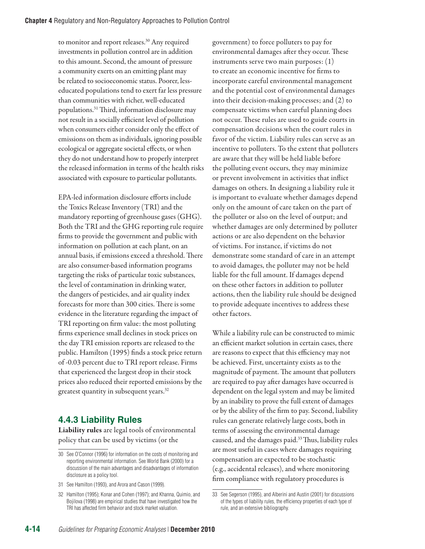to monitor and report releases.<sup>30</sup> Any required investments in pollution control are in addition to this amount. Second, the amount of pressure a community exerts on an emitting plant may be related to socioeconomic status. Poorer, lesseducated populations tend to exert far less pressure than communities with richer, well-educated populations.31 Third, information disclosure may not result in a socially efficient level of pollution when consumers either consider only the effect of emissions on them as individuals, ignoring possible ecological or aggregate societal effects, or when they do not understand how to properly interpret the released information in terms of the health risks associated with exposure to particular pollutants.

EPA-led information disclosure efforts include the Toxics Release Inventory (TRI) and the mandatory reporting of greenhouse gases (GHG). Both the TRI and the GHG reporting rule require firms to provide the government and public with information on pollution at each plant, on an annual basis, if emissions exceed a threshold. There are also consumer-based information programs targeting the risks of particular toxic substances, the level of contamination in drinking water, the dangers of pesticides, and air quality index forecasts for more than 300 cities. There is some evidence in the literature regarding the impact of TRI reporting on firm value: the most polluting firms experience small declines in stock prices on the day TRI emission reports are released to the public. Hamilton (1995) finds a stock price return of -0.03 percent due to TRI report release. Firms that experienced the largest drop in their stock prices also reduced their reported emissions by the greatest quantity in subsequent years.<sup>32</sup>

#### **4.4.3 Liability Rules**

Liability rules are legal tools of environmental policy that can be used by victims (or the

government) to force polluters to pay for environmental damages after they occur. These instruments serve two main purposes: (1) to create an economic incentive for firms to incorporate careful environmental management and the potential cost of environmental damages into their decision-making processes; and (2) to compensate victims when careful planning does not occur. These rules are used to guide courts in compensation decisions when the court rules in favor of the victim. Liability rules can serve as an incentive to polluters. To the extent that polluters are aware that they will be held liable before the polluting event occurs, they may minimize or prevent involvement in activities that inflict damages on others. In designing a liability rule it is important to evaluate whether damages depend only on the amount of care taken on the part of the polluter or also on the level of output; and whether damages are only determined by polluter actions or are also dependent on the behavior of victims. For instance, if victims do not demonstrate some standard of care in an attempt to avoid damages, the polluter may not be held liable for the full amount. If damages depend on these other factors in addition to polluter actions, then the liability rule should be designed to provide adequate incentives to address these other factors.

While a liability rule can be constructed to mimic an efficient market solution in certain cases, there are reasons to expect that this efficiency may not be achieved. First, uncertainty exists as to the magnitude of payment. The amount that polluters are required to pay after damages have occurred is dependent on the legal system and may be limited by an inability to prove the full extent of damages or by the ability of the firm to pay. Second, liability rules can generate relatively large costs, both in terms of assessing the environmental damage caused, and the damages paid.33 Thus, liability rules are most useful in cases where damages requiring compensation are expected to be stochastic (e.g., accidental releases), and where monitoring firm compliance with regulatory procedures is

<sup>30</sup> See O'Connor (1996) for information on the costs of monitoring and reporting environmental information. See World Bank (2000) for a discussion of the main advantages and disadvantages of information disclosure as a policy tool.

<sup>31</sup> See Hamilton (1993), and Arora and Cason (1999).

<sup>32</sup> Hamilton (1995); Konar and Cohen (1997); and Khanna, Quimio, and Bojilova (1998) are empirical studies that have investigated how the TRI has affected firm behavior and stock market valuation.

<sup>33</sup> See Segerson (1995), and Alberini and Austin (2001) for discussions of the types of liability rules, the efficiency properties of each type of rule, and an extensive bibliography.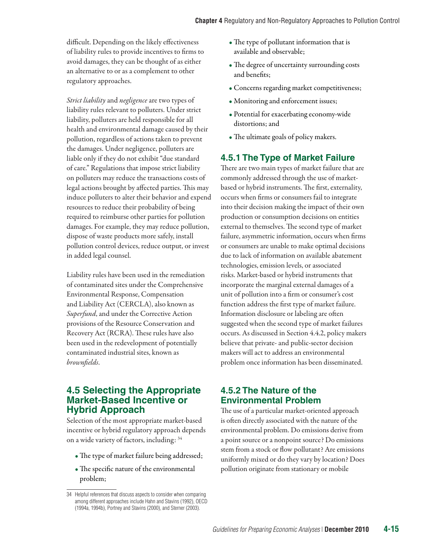difficult. Depending on the likely effectiveness of liability rules to provide incentives to firms to avoid damages, they can be thought of as either an alternative to or as a complement to other regulatory approaches.

*Strict liability* and *negligence* are two types of liability rules relevant to polluters. Under strict liability, polluters are held responsible for all health and environmental damage caused by their pollution, regardless of actions taken to prevent the damages. Under negligence, polluters are liable only if they do not exhibit "due standard of care." Regulations that impose strict liability on polluters may reduce the transactions costs of legal actions brought by affected parties. This may induce polluters to alter their behavior and expend resources to reduce their probability of being required to reimburse other parties for pollution damages. For example, they may reduce pollution, dispose of waste products more safely, install pollution control devices, reduce output, or invest in added legal counsel.

Liability rules have been used in the remediation of contaminated sites under the Comprehensive Environmental Response, Compensation and Liability Act (CERCLA), also known as *Superfund*, and under the Corrective Action provisions of the Resource Conservation and Recovery Act (RCRA). These rules have also been used in the redevelopment of potentially contaminated industrial sites, known as *brownfields*.

# **4.5 Selecting the Appropriate Market-Based Incentive or Hybrid Approach**

Selection of the most appropriate market-based incentive or hybrid regulatory approach depends on a wide variety of factors, including: 34

- The type of market failure being addressed;
- The specific nature of the environmental problem;
- The type of pollutant information that is available and observable;
- The degree of uncertainty surrounding costs and benefits;
- Concerns regarding market competitiveness;
- Monitoring and enforcement issues;
- Potential for exacerbating economy-wide distortions; and
- The ultimate goals of policy makers.

# **4.5.1 The Type of Market Failure**

There are two main types of market failure that are commonly addressed through the use of marketbased or hybrid instruments. The first, externality, occurs when firms or consumers fail to integrate into their decision making the impact of their own production or consumption decisions on entities external to themselves. The second type of market failure, asymmetric information, occurs when firms or consumers are unable to make optimal decisions due to lack of information on available abatement technologies, emission levels, or associated risks. Market-based or hybrid instruments that incorporate the marginal external damages of a unit of pollution into a firm or consumer's cost function address the first type of market failure. Information disclosure or labeling are often suggested when the second type of market failures occurs. As discussed in Section 4.4.2, policy makers believe that private- and public-sector decision makers will act to address an environmental problem once information has been disseminated.

# **4.5.2 The Nature of the Environmental Problem**

The use of a particular market-oriented approach is often directly associated with the nature of the environmental problem. Do emissions derive from a point source or a nonpoint source? Do emissions stem from a stock or flow pollutant? Are emissions uniformly mixed or do they vary by location? Does pollution originate from stationary or mobile

<sup>34</sup> Helpful references that discuss aspects to consider when comparing among different approaches include Hahn and Stavins (1992), OECD (1994a, 1994b), Portney and Stavins (2000), and Sterner (2003).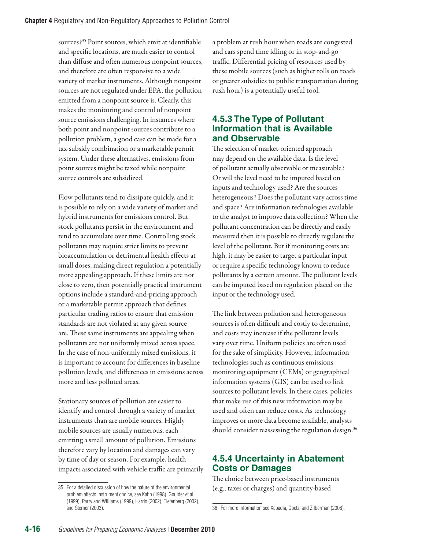sources?35 Point sources, which emit at identifiable and specific locations, are much easier to control than diffuse and often numerous nonpoint sources, and therefore are often responsive to a wide variety of market instruments. Although nonpoint sources are not regulated under EPA, the pollution emitted from a nonpoint source is. Clearly, this makes the monitoring and control of nonpoint source emissions challenging. In instances where both point and nonpoint sources contribute to a pollution problem, a good case can be made for a tax-subsidy combination or a marketable permit system. Under these alternatives, emissions from point sources might be taxed while nonpoint source controls are subsidized.

Flow pollutants tend to dissipate quickly, and it is possible to rely on a wide variety of market and hybrid instruments for emissions control. But stock pollutants persist in the environment and tend to accumulate over time. Controlling stock pollutants may require strict limits to prevent bioaccumulation or detrimental health effects at small doses, making direct regulation a potentially more appealing approach. If these limits are not close to zero, then potentially practical instrument options include a standard-and-pricing approach or a marketable permit approach that defines particular trading ratios to ensure that emission standards are not violated at any given source are. These same instruments are appealing when pollutants are not uniformly mixed across space. In the case of non-uniformly mixed emissions, it is important to account for differences in baseline pollution levels, and differences in emissions across more and less polluted areas.

Stationary sources of pollution are easier to identify and control through a variety of market instruments than are mobile sources. Highly mobile sources are usually numerous, each emitting a small amount of pollution. Emissions therefore vary by location and damages can vary by time of day or season. For example, health impacts associated with vehicle traffic are primarily a problem at rush hour when roads are congested and cars spend time idling or in stop-and-go traffic. Differential pricing of resources used by these mobile sources (such as higher tolls on roads or greater subsidies to public transportation during rush hour) is a potentially useful tool.

#### **4.5.3 The Type of Pollutant Information that is Available and Observable**

The selection of market-oriented approach may depend on the available data. Is the level of pollutant actually observable or measurable? Or will the level need to be imputed based on inputs and technology used? Are the sources heterogeneous? Does the pollutant vary across time and space? Are information technologies available to the analyst to improve data collection? When the pollutant concentration can be directly and easily measured then it is possible to directly regulate the level of the pollutant. But if monitoring costs are high, it may be easier to target a particular input or require a specific technology known to reduce pollutants by a certain amount. The pollutant levels can be imputed based on regulation placed on the input or the technology used.

The link between pollution and heterogeneous sources is often difficult and costly to determine, and costs may increase if the pollutant levels vary over time. Uniform policies are often used for the sake of simplicity. However, information technologies such as continuous emissions monitoring equipment (CEMs) or geographical information systems (GIS) can be used to link sources to pollutant levels. In these cases, policies that make use of this new information may be used and often can reduce costs. As technology improves or more data become available, analysts should consider reassessing the regulation design.<sup>36</sup>

# **4.5.4 Uncertainty in Abatement Costs or Damages**

The choice between price-based instruments (e.g., taxes or charges) and quantity-based

<sup>35</sup> For a detailed discussion of how the nature of the environmental problem affects instrument choice, see Kahn (1998), Goulder et al. (1999), Parry and Williams (1999), Harris (2002), Tietenberg (2002), and Sterner (2003).

<sup>36</sup> For more information see Xabadia, Goetz, and Zilberman (2008).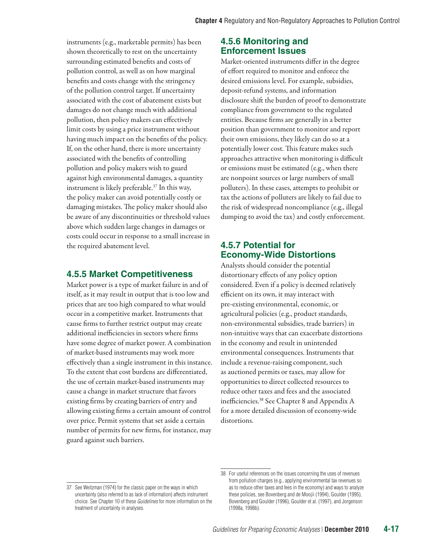instruments (e.g., marketable permits) has been shown theoretically to rest on the uncertainty surrounding estimated benefits and costs of pollution control, as well as on how marginal benefits and costs change with the stringency of the pollution control target. If uncertainty associated with the cost of abatement exists but damages do not change much with additional pollution, then policy makers can effectively limit costs by using a price instrument without having much impact on the benefits of the policy. If, on the other hand, there is more uncertainty associated with the benefits of controlling pollution and policy makers wish to guard against high environmental damages, a quantity instrument is likely preferable.37 In this way, the policy maker can avoid potentially costly or damaging mistakes. The policy maker should also be aware of any discontinuities or threshold values above which sudden large changes in damages or costs could occur in response to a small increase in the required abatement level.

## **4.5.5 Market Competitiveness**

Market power is a type of market failure in and of itself, as it may result in output that is too low and prices that are too high compared to what would occur in a competitive market. Instruments that cause firms to further restrict output may create additional inefficiencies in sectors where firms have some degree of market power. A combination of market-based instruments may work more effectively than a single instrument in this instance. To the extent that cost burdens are differentiated, the use of certain market-based instruments may cause a change in market structure that favors existing firms by creating barriers of entry and allowing existing firms a certain amount of control over price. Permit systems that set aside a certain number of permits for new firms, for instance, may guard against such barriers.

## **4.5.6 Monitoring and Enforcement Issues**

Market-oriented instruments differ in the degree of effort required to monitor and enforce the desired emissions level. For example, subsidies, deposit-refund systems, and information disclosure shift the burden of proof to demonstrate compliance from government to the regulated entities. Because firms are generally in a better position than government to monitor and report their own emissions, they likely can do so at a potentially lower cost. This feature makes such approaches attractive when monitoring is difficult or emissions must be estimated (e.g., when there are nonpoint sources or large numbers of small polluters). In these cases, attempts to prohibit or tax the actions of polluters are likely to fail due to the risk of widespread noncompliance (e.g., illegal dumping to avoid the tax) and costly enforcement.

## **4.5.7 Potential for Economy-Wide Distortions**

Analysts should consider the potential distortionary effects of any policy option considered. Even if a policy is deemed relatively efficient on its own, it may interact with pre-existing environmental, economic, or agricultural policies (e.g., product standards, non-environmental subsidies, trade barriers) in non-intuitive ways that can exacerbate distortions in the economy and result in unintended environmental consequences. Instruments that include a revenue-raising component, such as auctioned permits or taxes, may allow for opportunities to direct collected resources to reduce other taxes and fees and the associated inefficiencies.38 See Chapter 8 and Appendix A for a more detailed discussion of economy-wide distortions.

<sup>37</sup> See Weitzman (1974) for the classic paper on the ways in which uncertainty (also referred to as lack of information) affects instrument choice. See Chapter 10 of these *Guidelines* for more information on the treatment of uncertainty in analyses.

<sup>38</sup> For useful references on the issues concerning the uses of revenues from pollution charges (e.g., applying environmental tax revenues so as to reduce other taxes and fees in the economy) and ways to analyze these policies, see Bovenberg and de Moojii (1994), Goulder (1995), Bovenberg and Goulder (1996), Goulder et al. (1997), and Jorgenson (1998a, 1998b).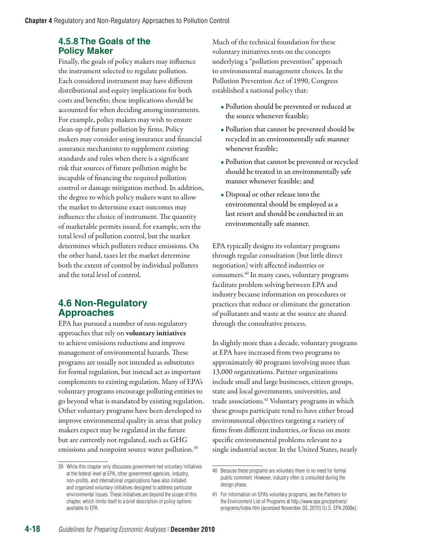# **4.5.8 The Goals of the Policy Maker**

Finally, the goals of policy makers may influence the instrument selected to regulate pollution. Each considered instrument may have different distributional and equity implications for both costs and benefits; these implications should be accounted for when deciding among instruments. For example, policy makers may wish to ensure clean-up of future pollution by firms. Policy makers may consider using insurance and financial assurance mechanisms to supplement existing standards and rules when there is a significant risk that sources of future pollution might be incapable of financing the required pollution control or damage mitigation method. In addition, the degree to which policy makers want to allow the market to determine exact outcomes may influence the choice of instrument. The quantity of marketable permits issued, for example, sets the total level of pollution control, but the market determines which polluters reduce emissions. On the other hand, taxes let the market determine both the extent of control by individual polluters and the total level of control.

# **4.6 Non-Regulatory Approaches**

EPA has pursued a number of non-regulatory approaches that rely on voluntary initiatives to achieve emissions reductions and improve management of environmental hazards. These programs are usually not intended as substitutes for formal regulation, but instead act as important complements to existing regulation. Many of EPA's voluntary programs encourage polluting entities to go beyond what is mandated by existing regulation. Other voluntary programs have been developed to improve environmental quality in areas that policy makers expect may be regulated in the future but are currently not regulated, such as GHG emissions and nonpoint source water pollution.<sup>39</sup>

Much of the technical foundation for these voluntary initiatives rests on the concepts underlying a "pollution prevention" approach to environmental management choices. In the Pollution Prevention Act of 1990, Congress established a national policy that:

- Pollution should be prevented or reduced at the source whenever feasible;
- Pollution that cannot be prevented should be recycled in an environmentally safe manner whenever feasible;
- Pollution that cannot be prevented or recycled should be treated in an environmentally safe manner whenever feasible; and
- Disposal or other release into the environmental should be employed as a last resort and should be conducted in an environmentally safe manner.

EPA typically designs its voluntary programs through regular consultation (but little direct negotiation) with affected industries or consumers.40 In many cases, voluntary programs facilitate problem solving between EPA and industry because information on procedures or practices that reduce or eliminate the generation of pollutants and waste at the source are shared through the consultative process.

In slightly more than a decade, voluntary programs at EPA have increased from two programs to approximately 40 programs involving more than 13,000 organizations. Partner organizations include small and large businesses, citizen groups, state and local governments, universities, and trade associations.<sup>41</sup> Voluntary programs in which these groups participate tend to have either broad environmental objectives targeting a variety of firms from different industries, or focus on more specific environmental problems relevant to a single industrial sector. In the United States, nearly

<sup>39</sup> While this chapter only discusses government-led voluntary initiatives at the federal level at EPA, other government agencies, industry, non-profits, and international organizations have also initiated and organized voluntary initiatives designed to address particular environmental issues. These initiatives are beyond the scope of this chapter, which limits itself to a brief description of policy options available to EPA.

<sup>40</sup> Because these programs are voluntary there is no need for formal public comment. However, industry often is consulted during the design phase.

<sup>41</sup> For information on EPA's voluntary programs, see the Partners for the Environment List of Programs at [http://www.epa.gov/partners/](http://www.epa.gov/partners/programs/index.htm) [programs/index.htm](http://www.epa.gov/partners/programs/index.htm) (accessed November 03, 2010) (U.S. EPA 2008e).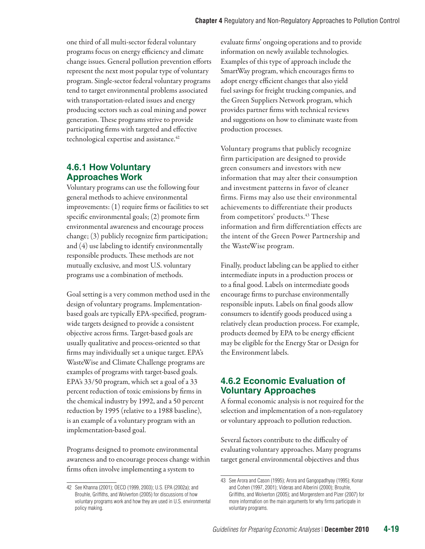one third of all multi-sector federal voluntary programs focus on energy efficiency and climate change issues. General pollution prevention efforts represent the next most popular type of voluntary program. Single-sector federal voluntary programs tend to target environmental problems associated with transportation-related issues and energy producing sectors such as coal mining and power generation. These programs strive to provide participating firms with targeted and effective technological expertise and assistance.<sup>42</sup>

## **4.6.1 How Voluntary Approaches Work**

Voluntary programs can use the following four general methods to achieve environmental improvements: (1) require firms or facilities to set specific environmental goals; (2) promote firm environmental awareness and encourage process change; (3) publicly recognize firm participation; and (4) use labeling to identify environmentally responsible products. These methods are not mutually exclusive, and most U.S. voluntary programs use a combination of methods.

Goal setting is a very common method used in the design of voluntary programs. Implementationbased goals are typically EPA-specified, programwide targets designed to provide a consistent objective across firms. Target-based goals are usually qualitative and process-oriented so that firms may individually set a unique target. EPA's WasteWise and Climate Challenge programs are examples of programs with target-based goals. EPA's 33/50 program, which set a goal of a 33 percent reduction of toxic emissions by firms in the chemical industry by 1992, and a 50 percent reduction by 1995 (relative to a 1988 baseline), is an example of a voluntary program with an implementation-based goal.

Programs designed to promote environmental awareness and to encourage process change within firms often involve implementing a system to

evaluate firms' ongoing operations and to provide information on newly available technologies. Examples of this type of approach include the SmartWay program, which encourages firms to adopt energy efficient changes that also yield fuel savings for freight trucking companies, and the Green Suppliers Network program, which provides partner firms with technical reviews and suggestions on how to eliminate waste from production processes.

Voluntary programs that publicly recognize firm participation are designed to provide green consumers and investors with new information that may alter their consumption and investment patterns in favor of cleaner firms. Firms may also use their environmental achievements to differentiate their products from competitors' products.<sup>43</sup> These information and firm differentiation effects are the intent of the Green Power Partnership and the WasteWise program.

Finally, product labeling can be applied to either intermediate inputs in a production process or to a final good. Labels on intermediate goods encourage firms to purchase environmentally responsible inputs. Labels on final goods allow consumers to identify goods produced using a relatively clean production process. For example, products deemed by EPA to be energy efficient may be eligible for the Energy Star or Design for the Environment labels.

# **4.6.2 Economic Evaluation of Voluntary Approaches**

A formal economic analysis is not required for the selection and implementation of a non-regulatory or voluntary approach to pollution reduction.

Several factors contribute to the difficulty of evaluating voluntary approaches. Many programs target general environmental objectives and thus

<sup>42</sup> See Khanna (2001); OECD (1999, 2003); U.S. EPA (2002a); and Brouhle, Griffiths, and Wolverton (2005) for discussions of how voluntary programs work and how they are used in U.S. environmental policy making.

<sup>43</sup> See Arora and Cason (1995); Arora and Gangopadhyay (1995); Konar and Cohen (1997, 2001); Videras and Alberini (2000); Brouhle, Griffiths, and Wolverton (2005); and Morgenstern and Pizer (2007) for more information on the main arguments for why firms participate in voluntary programs.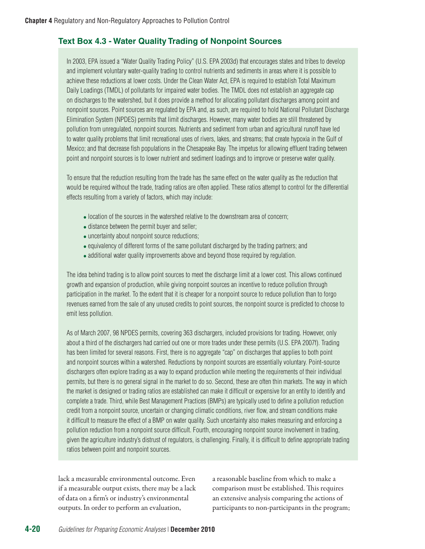#### **Text Box 4.3 - Water Quality Trading of Nonpoint Sources**

In 2003, EPA issued a "Water Quality Trading Policy" (U.S. EPA 2003d) that encourages states and tribes to develop and implement voluntary water-quality trading to control nutrients and sediments in areas where it is possible to achieve these reductions at lower costs. Under the Clean Water Act, EPA is required to establish Total Maximum Daily Loadings (TMDL) of pollutants for impaired water bodies. The TMDL does not establish an aggregate cap on discharges to the watershed, but it does provide a method for allocating pollutant discharges among point and nonpoint sources. Point sources are regulated by EPA and, as such, are required to hold National Pollutant Discharge Elimination System (NPDES) permits that limit discharges. However, many water bodies are still threatened by pollution from unregulated, nonpoint sources. Nutrients and sediment from urban and agricultural runoff have led to water quality problems that limit recreational uses of rivers, lakes, and streams; that create hypoxia in the Gulf of Mexico; and that decrease fish populations in the Chesapeake Bay. The impetus for allowing effluent trading between point and nonpoint sources is to lower nutrient and sediment loadings and to improve or preserve water quality.

To ensure that the reduction resulting from the trade has the same effect on the water quality as the reduction that would be required without the trade, trading ratios are often applied. These ratios attempt to control for the differential effects resulting from a variety of factors, which may include:

- location of the sources in the watershed relative to the downstream area of concern;
- distance between the permit buyer and seller;
- uncertainty about nonpoint source reductions;
- equivalency of different forms of the same pollutant discharged by the trading partners; and
- additional water quality improvements above and beyond those required by regulation.

The idea behind trading is to allow point sources to meet the discharge limit at a lower cost. This allows continued growth and expansion of production, while giving nonpoint sources an incentive to reduce pollution through participation in the market. To the extent that it is cheaper for a nonpoint source to reduce pollution than to forgo revenues earned from the sale of any unused credits to point sources, the nonpoint source is predicted to choose to emit less pollution.

As of March 2007, 98 NPDES permits, covering 363 dischargers, included provisions for trading. However, only about a third of the dischargers had carried out one or more trades under these permits (U.S. EPA 2007f). Trading has been limited for several reasons. First, there is no aggregate "cap" on discharges that applies to both point and nonpoint sources within a watershed. Reductions by nonpoint sources are essentially voluntary. Point-source dischargers often explore trading as a way to expand production while meeting the requirements of their individual permits, but there is no general signal in the market to do so. Second, these are often thin markets. The way in which the market is designed or trading ratios are established can make it difficult or expensive for an entity to identify and complete a trade. Third, while Best Management Practices (BMPs) are typically used to define a pollution reduction credit from a nonpoint source, uncertain or changing climatic conditions, river flow, and stream conditions make it difficult to measure the effect of a BMP on water quality. Such uncertainty also makes measuring and enforcing a pollution reduction from a nonpoint source difficult. Fourth, encouraging nonpoint source involvement in trading, given the agriculture industry's distrust of regulators, is challenging. Finally, it is difficult to define appropriate trading ratios between point and nonpoint sources.

lack a measurable environmental outcome. Even if a measurable output exists, there may be a lack of data on a firm's or industry's environmental outputs. In order to perform an evaluation,

a reasonable baseline from which to make a comparison must be established. This requires an extensive analysis comparing the actions of participants to non-participants in the program;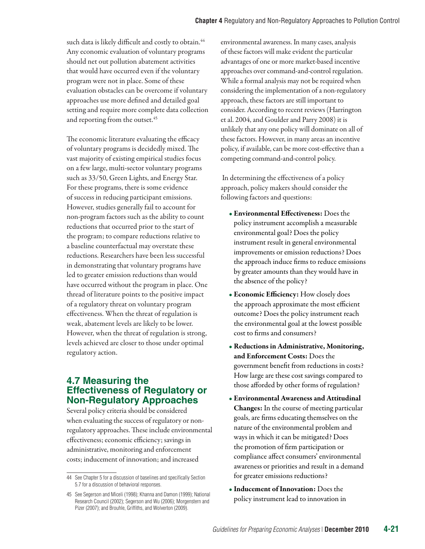such data is likely difficult and costly to obtain.<sup>44</sup> Any economic evaluation of voluntary programs should net out pollution abatement activities that would have occurred even if the voluntary program were not in place. Some of these evaluation obstacles can be overcome if voluntary approaches use more defined and detailed goal setting and require more complete data collection and reporting from the outset.<sup>45</sup>

The economic literature evaluating the efficacy of voluntary programs is decidedly mixed. The vast majority of existing empirical studies focus on a few large, multi-sector voluntary programs such as 33/50, Green Lights, and Energy Star. For these programs, there is some evidence of success in reducing participant emissions. However, studies generally fail to account for non-program factors such as the ability to count reductions that occurred prior to the start of the program; to compare reductions relative to a baseline counterfactual may overstate these reductions. Researchers have been less successful in demonstrating that voluntary programs have led to greater emission reductions than would have occurred without the program in place. One thread of literature points to the positive impact of a regulatory threat on voluntary program effectiveness. When the threat of regulation is weak, abatement levels are likely to be lower. However, when the threat of regulation is strong, levels achieved are closer to those under optimal regulatory action.

# **4.7 Measuring the Effectiveness of Regulatory or Non-Regulatory Approaches**

Several policy criteria should be considered when evaluating the success of regulatory or nonregulatory approaches. These include environmental effectiveness; economic efficiency; savings in administrative, monitoring and enforcement costs; inducement of innovation; and increased

environmental awareness. In many cases, analysis of these factors will make evident the particular advantages of one or more market-based incentive approaches over command-and-control regulation. While a formal analysis may not be required when considering the implementation of a non-regulatory approach, these factors are still important to consider. According to recent reviews (Harrington et al. 2004, and Goulder and Parry 2008) it is unlikely that any one policy will dominate on all of these factors. However, in many areas an incentive policy, if available, can be more cost-effective than a competing command-and-control policy.

 In determining the effectiveness of a policy approach, policy makers should consider the following factors and questions:

- Environmental Effectiveness: Does the policy instrument accomplish a measurable environmental goal? Does the policy instrument result in general environmental improvements or emission reductions? Does the approach induce firms to reduce emissions by greater amounts than they would have in the absence of the policy?
- Economic Efficiency: How closely does the approach approximate the most efficient outcome? Does the policy instrument reach the environmental goal at the lowest possible cost to firms and consumers?
- Reductions in Administrative, Monitoring, and Enforcement Costs: Does the government benefit from reductions in costs? How large are these cost savings compared to those afforded by other forms of regulation?
- Environmental Awareness and Attitudinal Changes: In the course of meeting particular goals, are firms educating themselves on the nature of the environmental problem and ways in which it can be mitigated? Does the promotion of firm participation or compliance affect consumers' environmental awareness or priorities and result in a demand for greater emissions reductions?
- Inducement of Innovation: Does the policy instrument lead to innovation in

<sup>44</sup> See Chapter 5 for a discussion of baselines and specifically Section 5.7 for a discussion of behavioral responses.

<sup>45</sup> See Segerson and Miceli (1998); Khanna and Damon (1999); National Research Council (2002); Segerson and Wu (2006); Morgenstern and Pizer (2007); and Brouhle, Griffiths, and Wolverton (2009).